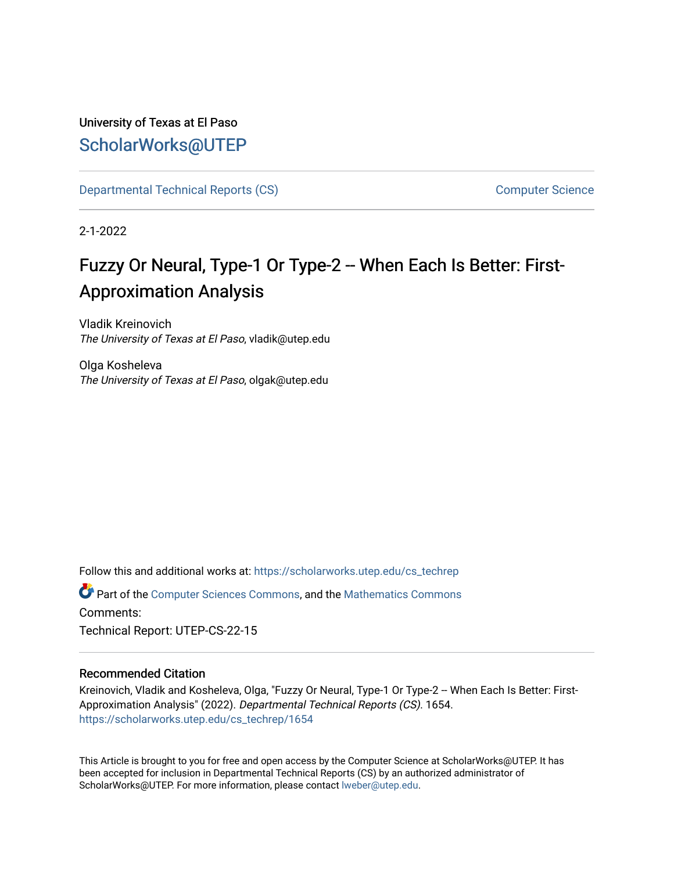# University of Texas at El Paso [ScholarWorks@UTEP](https://scholarworks.utep.edu/)

[Departmental Technical Reports \(CS\)](https://scholarworks.utep.edu/cs_techrep) [Computer Science](https://scholarworks.utep.edu/computer) 

2-1-2022

# Fuzzy Or Neural, Type-1 Or Type-2 -- When Each Is Better: First-Approximation Analysis

Vladik Kreinovich The University of Texas at El Paso, vladik@utep.edu

Olga Kosheleva The University of Texas at El Paso, olgak@utep.edu

Follow this and additional works at: [https://scholarworks.utep.edu/cs\\_techrep](https://scholarworks.utep.edu/cs_techrep?utm_source=scholarworks.utep.edu%2Fcs_techrep%2F1654&utm_medium=PDF&utm_campaign=PDFCoverPages) 

Part of the [Computer Sciences Commons](http://network.bepress.com/hgg/discipline/142?utm_source=scholarworks.utep.edu%2Fcs_techrep%2F1654&utm_medium=PDF&utm_campaign=PDFCoverPages), and the [Mathematics Commons](http://network.bepress.com/hgg/discipline/174?utm_source=scholarworks.utep.edu%2Fcs_techrep%2F1654&utm_medium=PDF&utm_campaign=PDFCoverPages)  Comments:

Technical Report: UTEP-CS-22-15

## Recommended Citation

Kreinovich, Vladik and Kosheleva, Olga, "Fuzzy Or Neural, Type-1 Or Type-2 -- When Each Is Better: First-Approximation Analysis" (2022). Departmental Technical Reports (CS). 1654. [https://scholarworks.utep.edu/cs\\_techrep/1654](https://scholarworks.utep.edu/cs_techrep/1654?utm_source=scholarworks.utep.edu%2Fcs_techrep%2F1654&utm_medium=PDF&utm_campaign=PDFCoverPages) 

This Article is brought to you for free and open access by the Computer Science at ScholarWorks@UTEP. It has been accepted for inclusion in Departmental Technical Reports (CS) by an authorized administrator of ScholarWorks@UTEP. For more information, please contact [lweber@utep.edu](mailto:lweber@utep.edu).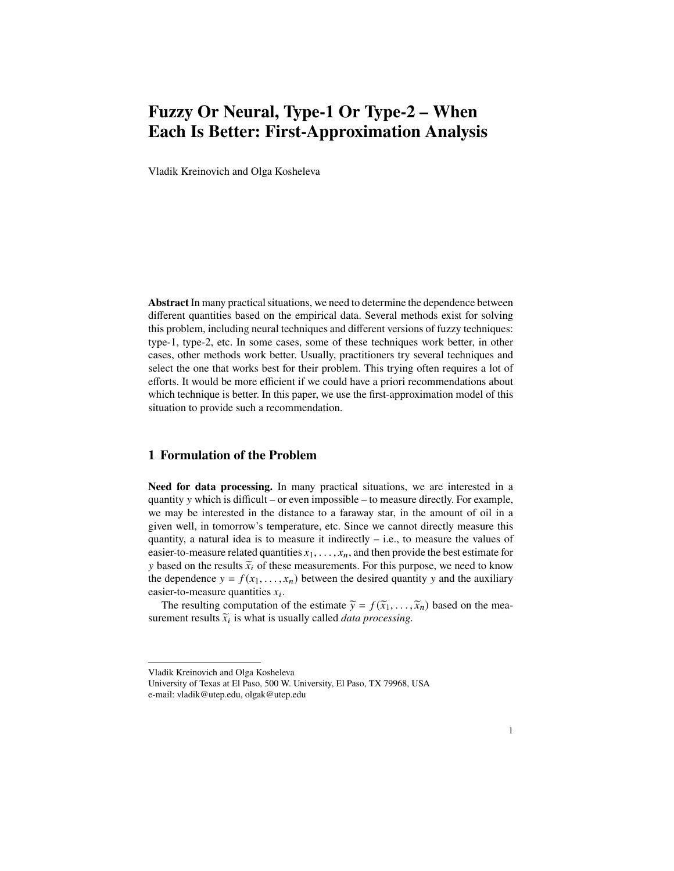# **Fuzzy Or Neural, Type-1 Or Type-2 – When Each Is Better: First-Approximation Analysis**

Vladik Kreinovich and Olga Kosheleva

**Abstract** In many practical situations, we need to determine the dependence between different quantities based on the empirical data. Several methods exist for solving this problem, including neural techniques and different versions of fuzzy techniques: type-1, type-2, etc. In some cases, some of these techniques work better, in other cases, other methods work better. Usually, practitioners try several techniques and select the one that works best for their problem. This trying often requires a lot of efforts. It would be more efficient if we could have a priori recommendations about which technique is better. In this paper, we use the first-approximation model of this situation to provide such a recommendation.

### **1 Formulation of the Problem**

**Need for data processing.** In many practical situations, we are interested in a quantity  $\nu$  which is difficult – or even impossible – to measure directly. For example, we may be interested in the distance to a faraway star, in the amount of oil in a given well, in tomorrow's temperature, etc. Since we cannot directly measure this quantity, a natural idea is to measure it indirectly  $-$  i.e., to measure the values of easier-to-measure related quantities  $x_1, \ldots, x_n$ , and then provide the best estimate for y based on the results  $\tilde{x}_i$  of these measurements. For this purpose, we need to know the dependence  $y = f(x_1, \ldots, x_n)$  between the desired quantity y and the auxiliary easier-to-measure quantities  $x_i$ .

The resulting computation of the estimate  $\tilde{y} = f(\tilde{x}_1, \dots, \tilde{x}_n)$  based on the measurement results  $\tilde{x}_i$  is what is usually called *data processing*.

Vladik Kreinovich and Olga Kosheleva

University of Texas at El Paso, 500 W. University, El Paso, TX 79968, USA e-mail: vladik@utep.edu, olgak@utep.edu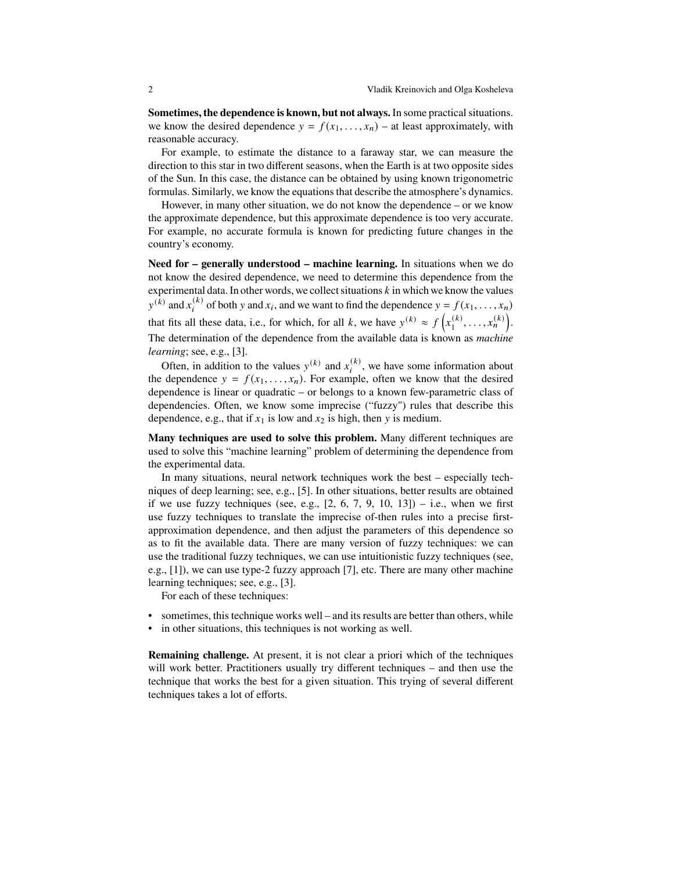**Sometimes, the dependence is known, but not always.** In some practical situations. we know the desired dependence  $y = f(x_1, \ldots, x_n)$  – at least approximately, with reasonable accuracy.

For example, to estimate the distance to a faraway star, we can measure the direction to this star in two different seasons, when the Earth is at two opposite sides of the Sun. In this case, the distance can be obtained by using known trigonometric formulas. Similarly, we know the equations that describe the atmosphere's dynamics.

However, in many other situation, we do not know the dependence – or we know the approximate dependence, but this approximate dependence is too very accurate. For example, no accurate formula is known for predicting future changes in the country's economy.

**Need for – generally understood – machine learning.** In situations when we do not know the desired dependence, we need to determine this dependence from the experimental data. In other words, we collect situations  $k$  in which we know the values  $y^{(k)}$  and  $x_i^{(k)}$  of both y and  $x_i$ , and we want to find the dependence  $y = f(x_1, \ldots, x_n)$ that fits all these data, i.e., for which, for all k, we have  $y^{(k)} \approx f(x_1^{(k)})$  $\binom{k}{1}, \ldots, x_n^{(k)}$ . The determination of the dependence from the available data is known as *machine learning*; see, e.g., [3].

Often, in addition to the values  $y^{(k)}$  and  $x_i^{(k)}$ , we have some information about the dependence  $y = f(x_1, \ldots, x_n)$ . For example, often we know that the desired dependence is linear or quadratic – or belongs to a known few-parametric class of dependencies. Often, we know some imprecise ("fuzzy") rules that describe this dependence, e.g., that if  $x_1$  is low and  $x_2$  is high, then y is medium.

**Many techniques are used to solve this problem.** Many different techniques are used to solve this "machine learning" problem of determining the dependence from the experimental data.

In many situations, neural network techniques work the best – especially techniques of deep learning; see, e.g., [5]. In other situations, better results are obtained if we use fuzzy techniques (see, e.g.,  $[2, 6, 7, 9, 10, 13]$ ) – i.e., when we first use fuzzy techniques to translate the imprecise of-then rules into a precise firstapproximation dependence, and then adjust the parameters of this dependence so as to fit the available data. There are many version of fuzzy techniques: we can use the traditional fuzzy techniques, we can use intuitionistic fuzzy techniques (see, e.g., [1]), we can use type-2 fuzzy approach [7], etc. There are many other machine learning techniques; see, e.g., [3].

For each of these techniques:

- sometimes, this technique works well and its results are better than others, while
- in other situations, this techniques is not working as well.

**Remaining challenge.** At present, it is not clear a priori which of the techniques will work better. Practitioners usually try different techniques – and then use the technique that works the best for a given situation. This trying of several different techniques takes a lot of efforts.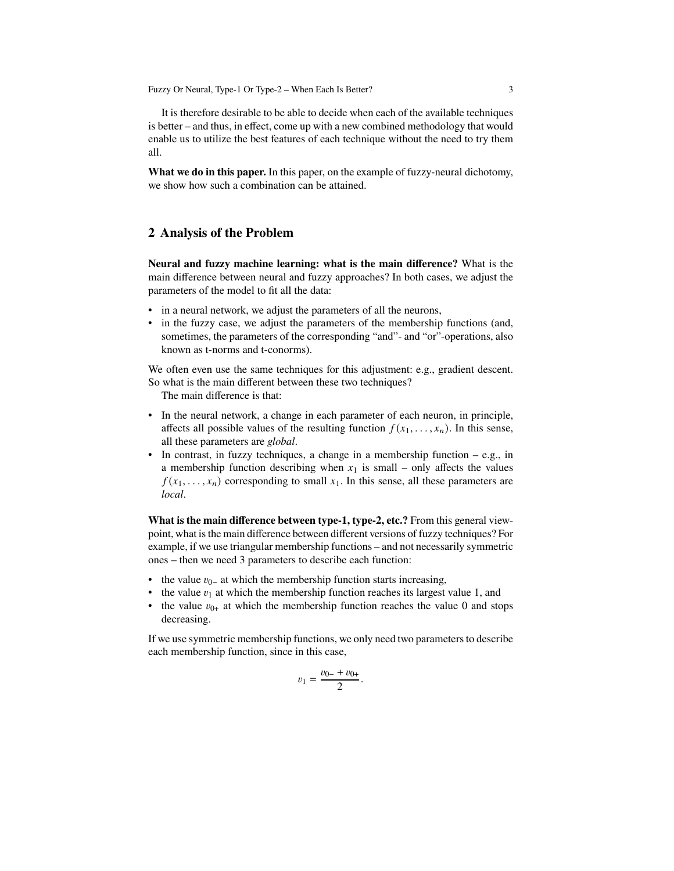Fuzzy Or Neural, Type-1 Or Type-2 – When Each Is Better? 3

It is therefore desirable to be able to decide when each of the available techniques is better – and thus, in effect, come up with a new combined methodology that would enable us to utilize the best features of each technique without the need to try them all.

**What we do in this paper.** In this paper, on the example of fuzzy-neural dichotomy, we show how such a combination can be attained.

#### **2 Analysis of the Problem**

**Neural and fuzzy machine learning: what is the main difference?** What is the main difference between neural and fuzzy approaches? In both cases, we adjust the parameters of the model to fit all the data:

- in a neural network, we adjust the parameters of all the neurons,
- in the fuzzy case, we adjust the parameters of the membership functions (and, sometimes, the parameters of the corresponding "and"- and "or"-operations, also known as t-norms and t-conorms).

We often even use the same techniques for this adjustment: e.g., gradient descent. So what is the main different between these two techniques?

The main difference is that:

- In the neural network, a change in each parameter of each neuron, in principle, affects all possible values of the resulting function  $f(x_1, \ldots, x_n)$ . In this sense, all these parameters are *global*.
- In contrast, in fuzzy techniques, a change in a membership function  $-e.g.,$  in a membership function describing when  $x_1$  is small – only affects the values  $f(x_1, \ldots, x_n)$  corresponding to small  $x_1$ . In this sense, all these parameters are *local*.

**What is the main difference between type-1, type-2, etc.?** From this general viewpoint, what is the main difference between different versions of fuzzy techniques? For example, if we use triangular membership functions – and not necessarily symmetric ones – then we need 3 parameters to describe each function:

- the value  $v_{0-}$  at which the membership function starts increasing,
- the value  $v_1$  at which the membership function reaches its largest value 1, and
- the value  $v_{0+}$  at which the membership function reaches the value 0 and stops decreasing.

If we use symmetric membership functions, we only need two parameters to describe each membership function, since in this case,

$$
v_1 = \frac{v_{0-} + v_{0+}}{2}.
$$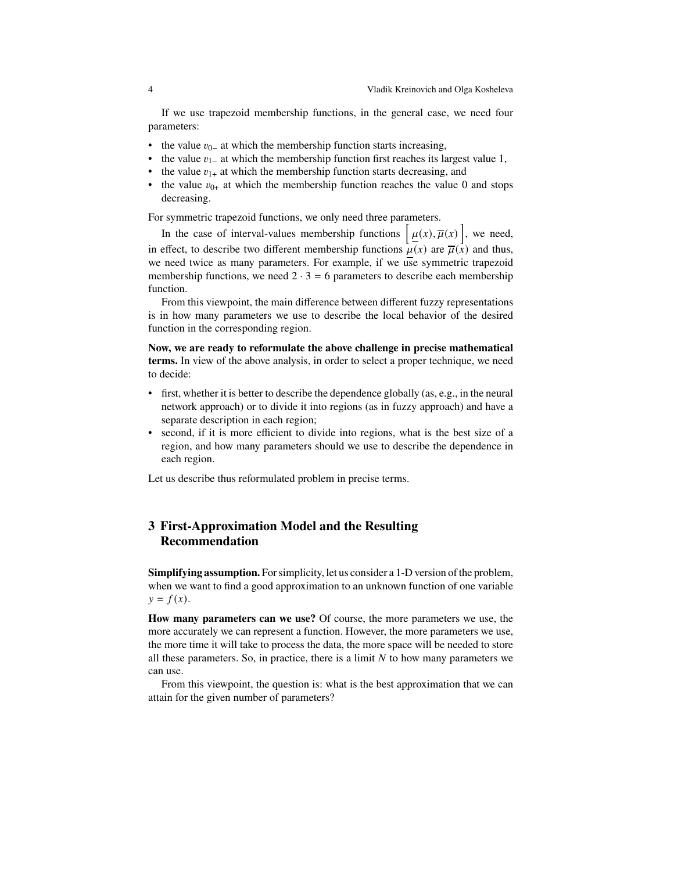If we use trapezoid membership functions, in the general case, we need four parameters:

- the value  $v_{0-}$  at which the membership function starts increasing,
- the value  $v_{1-}$  at which the membership function first reaches its largest value 1,
- the value  $v_{1+}$  at which the membership function starts decreasing, and
- the value  $v_{0+}$  at which the membership function reaches the value 0 and stops decreasing.

For symmetric trapezoid functions, we only need three parameters.

In the case of interval-values membership functions  $\left[\mu(x), \overline{\mu}(x)\right]$ , we need, in effect, to describe two different membership functions  $\mu(x)$  are  $\overline{\mu}(x)$  and thus, we need twice as many parameters. For example, if we use symmetric trapezoid membership functions, we need  $2 \cdot 3 = 6$  parameters to describe each membership function.

From this viewpoint, the main difference between different fuzzy representations is in how many parameters we use to describe the local behavior of the desired function in the corresponding region.

**Now, we are ready to reformulate the above challenge in precise mathematical terms.** In view of the above analysis, in order to select a proper technique, we need to decide:

- first, whether it is better to describe the dependence globally (as, e.g., in the neural network approach) or to divide it into regions (as in fuzzy approach) and have a separate description in each region;
- second, if it is more efficient to divide into regions, what is the best size of a region, and how many parameters should we use to describe the dependence in each region.

Let us describe thus reformulated problem in precise terms.

## **3 First-Approximation Model and the Resulting Recommendation**

**Simplifying assumption.** For simplicity, let us consider a 1-D version of the problem, when we want to find a good approximation to an unknown function of one variable  $y = f(x)$ .

**How many parameters can we use?** Of course, the more parameters we use, the more accurately we can represent a function. However, the more parameters we use, the more time it will take to process the data, the more space will be needed to store all these parameters. So, in practice, there is a limit  $N$  to how many parameters we can use.

From this viewpoint, the question is: what is the best approximation that we can attain for the given number of parameters?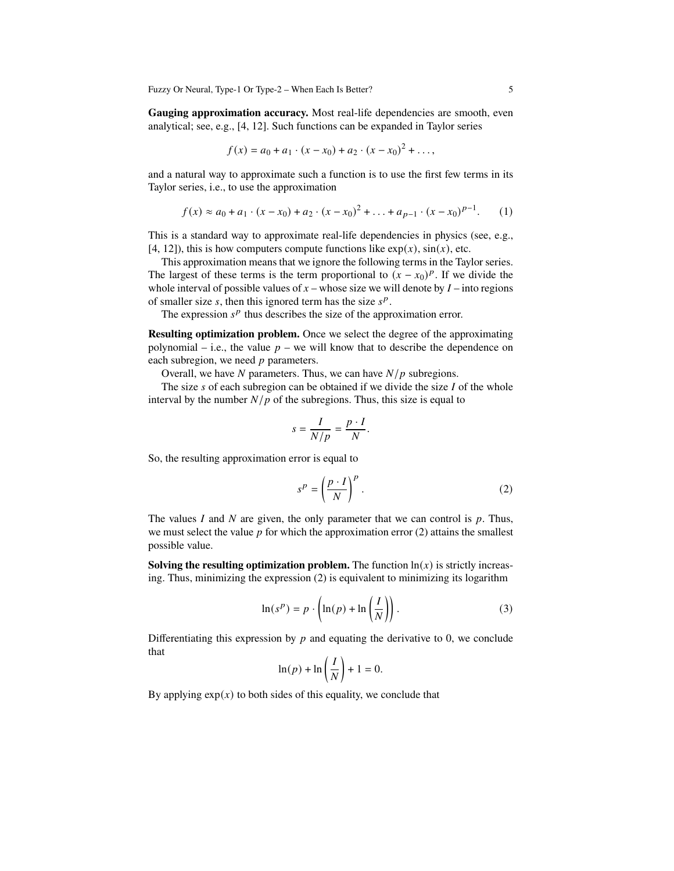Fuzzy Or Neural, Type-1 Or Type-2 – When Each Is Better? 5

**Gauging approximation accuracy.** Most real-life dependencies are smooth, even analytical; see, e.g., [4, 12]. Such functions can be expanded in Taylor series

$$
f(x) = a_0 + a_1 \cdot (x - x_0) + a_2 \cdot (x - x_0)^2 + \dots,
$$

and a natural way to approximate such a function is to use the first few terms in its Taylor series, i.e., to use the approximation

$$
f(x) \approx a_0 + a_1 \cdot (x - x_0) + a_2 \cdot (x - x_0)^2 + \ldots + a_{p-1} \cdot (x - x_0)^{p-1}.
$$
 (1)

This is a standard way to approximate real-life dependencies in physics (see, e.g., [4, 12]), this is how computers compute functions like  $exp(x)$ ,  $sin(x)$ , etc.

This approximation means that we ignore the following terms in the Taylor series. The largest of these terms is the term proportional to  $(x - x_0)^p$ . If we divide the whole interval of possible values of  $x$  – whose size we will denote by  $I$  – into regions of smaller size  $\overline{s}$ , then this ignored term has the size  $\overline{s}^p$ .

The expression  $s^p$  thus describes the size of the approximation error.

**Resulting optimization problem.** Once we select the degree of the approximating polynomial – i.e., the value  $p$  – we will know that to describe the dependence on each subregion, we need  $p$  parameters.

Overall, we have  $N$  parameters. Thus, we can have  $N/p$  subregions.

The size  $s$  of each subregion can be obtained if we divide the size  $I$  of the whole interval by the number  $N/p$  of the subregions. Thus, this size is equal to

$$
s = \frac{I}{N/p} = \frac{p \cdot I}{N}.
$$

So, the resulting approximation error is equal to

$$
s^P = \left(\frac{p \cdot I}{N}\right)^P.
$$
 (2)

The values I and N are given, the only parameter that we can control is  $p$ . Thus, we must select the value  $p$  for which the approximation error (2) attains the smallest possible value.

**Solving the resulting optimization problem.** The function  $\ln(x)$  is strictly increasing. Thus, minimizing the expression (2) is equivalent to minimizing its logarithm

$$
\ln(s^p) = p \cdot \left(\ln(p) + \ln\left(\frac{I}{N}\right)\right). \tag{3}
$$

Differentiating this expression by  $p$  and equating the derivative to 0, we conclude that

$$
\ln(p) + \ln\left(\frac{I}{N}\right) + 1 = 0.
$$

By applying  $exp(x)$  to both sides of this equality, we conclude that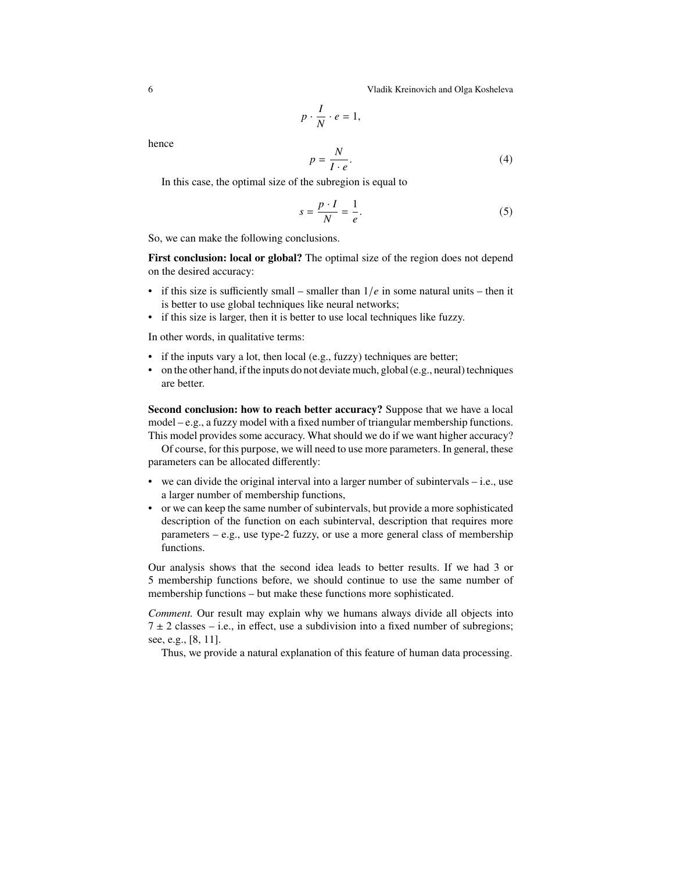6 Vladik Kreinovich and Olga Kosheleva

$$
p \cdot \frac{I}{N} \cdot e = 1,
$$

hence

$$
p = \frac{N}{I \cdot e}.\tag{4}
$$

In this case, the optimal size of the subregion is equal to

$$
s = \frac{p \cdot I}{N} = \frac{1}{e}.\tag{5}
$$

So, we can make the following conclusions.

**First conclusion: local or global?** The optimal size of the region does not depend on the desired accuracy:

- if this size is sufficiently small smaller than  $1/e$  in some natural units then it is better to use global techniques like neural networks;
- if this size is larger, then it is better to use local techniques like fuzzy.

In other words, in qualitative terms:

- if the inputs vary a lot, then local (e.g., fuzzy) techniques are better;
- on the other hand, if the inputs do not deviate much, global (e.g., neural) techniques are better.

**Second conclusion: how to reach better accuracy?** Suppose that we have a local model – e.g., a fuzzy model with a fixed number of triangular membership functions. This model provides some accuracy. What should we do if we want higher accuracy?

Of course, for this purpose, we will need to use more parameters. In general, these parameters can be allocated differently:

- we can divide the original interval into a larger number of subintervals  $-$  i.e., use a larger number of membership functions,
- or we can keep the same number of subintervals, but provide a more sophisticated description of the function on each subinterval, description that requires more parameters – e.g., use type-2 fuzzy, or use a more general class of membership functions.

Our analysis shows that the second idea leads to better results. If we had 3 or 5 membership functions before, we should continue to use the same number of membership functions – but make these functions more sophisticated.

*Comment.* Our result may explain why we humans always divide all objects into  $7 \pm 2$  classes – i.e., in effect, use a subdivision into a fixed number of subregions; see, e.g., [8, 11].

Thus, we provide a natural explanation of this feature of human data processing.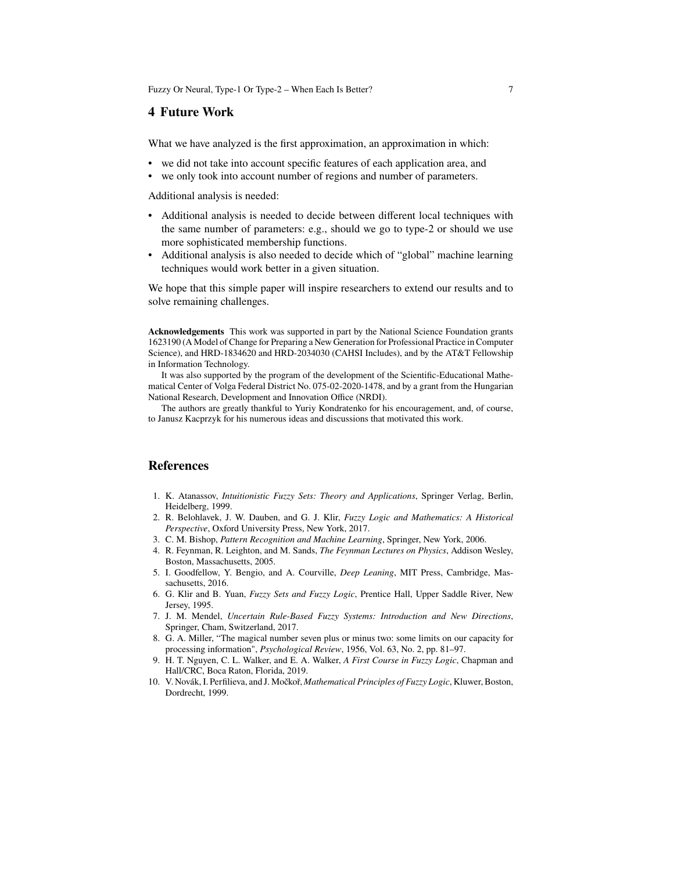Fuzzy Or Neural, Type-1 Or Type-2 – When Each Is Better? 7

#### **4 Future Work**

What we have analyzed is the first approximation, an approximation in which:

- we did not take into account specific features of each application area, and
- we only took into account number of regions and number of parameters.

Additional analysis is needed:

- Additional analysis is needed to decide between different local techniques with the same number of parameters: e.g., should we go to type-2 or should we use more sophisticated membership functions.
- Additional analysis is also needed to decide which of "global" machine learning techniques would work better in a given situation.

We hope that this simple paper will inspire researchers to extend our results and to solve remaining challenges.

**Acknowledgements** This work was supported in part by the National Science Foundation grants 1623190 (A Model of Change for Preparing a New Generation for Professional Practice in Computer Science), and HRD-1834620 and HRD-2034030 (CAHSI Includes), and by the AT&T Fellowship in Information Technology.

It was also supported by the program of the development of the Scientific-Educational Mathematical Center of Volga Federal District No. 075-02-2020-1478, and by a grant from the Hungarian National Research, Development and Innovation Office (NRDI).

The authors are greatly thankful to Yuriy Kondratenko for his encouragement, and, of course, to Janusz Kacprzyk for his numerous ideas and discussions that motivated this work.

#### **References**

- 1. K. Atanassov, *Intuitionistic Fuzzy Sets: Theory and Applications*, Springer Verlag, Berlin, Heidelberg, 1999.
- 2. R. Belohlavek, J. W. Dauben, and G. J. Klir, *Fuzzy Logic and Mathematics: A Historical Perspective*, Oxford University Press, New York, 2017.
- 3. C. M. Bishop, *Pattern Recognition and Machine Learning*, Springer, New York, 2006.
- 4. R. Feynman, R. Leighton, and M. Sands, *The Feynman Lectures on Physics*, Addison Wesley, Boston, Massachusetts, 2005.
- 5. I. Goodfellow, Y. Bengio, and A. Courville, *Deep Leaning*, MIT Press, Cambridge, Massachusetts, 2016.
- 6. G. Klir and B. Yuan, *Fuzzy Sets and Fuzzy Logic*, Prentice Hall, Upper Saddle River, New Jersey, 1995.
- 7. J. M. Mendel, *Uncertain Rule-Based Fuzzy Systems: Introduction and New Directions*, Springer, Cham, Switzerland, 2017.
- 8. G. A. Miller, "The magical number seven plus or minus two: some limits on our capacity for processing information", *Psychological Review*, 1956, Vol. 63, No. 2, pp. 81–97.
- 9. H. T. Nguyen, C. L. Walker, and E. A. Walker, *A First Course in Fuzzy Logic*, Chapman and Hall/CRC, Boca Raton, Florida, 2019.
- 10. V. Novák, I. Perfilieva, and J. Močkoř, *Mathematical Principles of Fuzzy Logic*, Kluwer, Boston, Dordrecht, 1999.